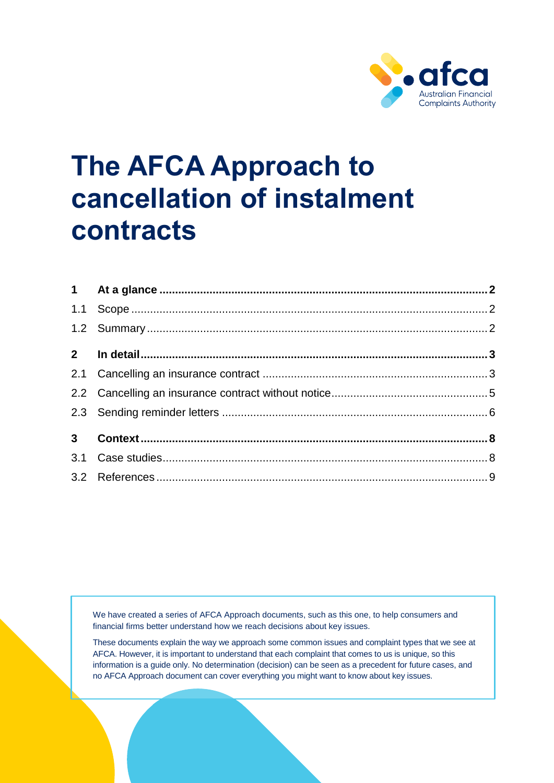

# **The AFCA Approach to cancellation of instalment contracts**

We have created a series of AFCA Approach documents, such as this one, to help consumers and financial firms better understand how we reach decisions about key issues.

These documents explain the way we approach some common issues and complaint types that we see at AFCA. However, it is important to understand that each complaint that comes to us is unique, so this information is a guide only. No determination (decision) can be seen as a precedent for future cases, and no AFCA Approach document can cover everything you might want to know about key issues.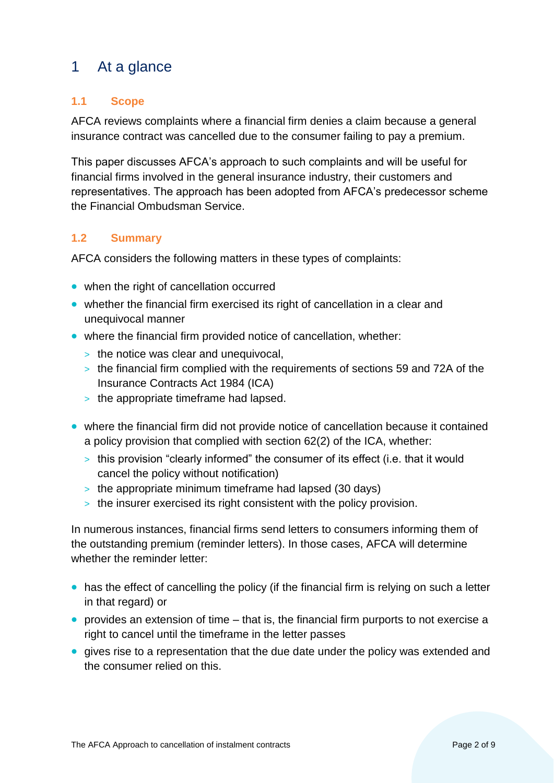# <span id="page-1-0"></span>1 At a glance

## <span id="page-1-1"></span>**1.1 Scope**

AFCA reviews complaints where a financial firm denies a claim because a general insurance contract was cancelled due to the consumer failing to pay a premium.

This paper discusses AFCA's approach to such complaints and will be useful for financial firms involved in the general insurance industry, their customers and representatives. The approach has been adopted from AFCA's predecessor scheme the Financial Ombudsman Service.

## <span id="page-1-2"></span>**1.2 Summary**

AFCA considers the following matters in these types of complaints:

- when the right of cancellation occurred
- whether the financial firm exercised its right of cancellation in a clear and unequivocal manner
- where the financial firm provided notice of cancellation, whether:
	- > the notice was clear and unequivocal,
	- > the financial firm complied with the requirements of sections 59 and 72A of the Insurance Contracts Act 1984 (ICA)
	- > the appropriate timeframe had lapsed.
- where the financial firm did not provide notice of cancellation because it contained a policy provision that complied with section 62(2) of the ICA, whether:
	- > this provision "clearly informed" the consumer of its effect (i.e. that it would cancel the policy without notification)
	- > the appropriate minimum timeframe had lapsed (30 days)
	- > the insurer exercised its right consistent with the policy provision.

In numerous instances, financial firms send letters to consumers informing them of the outstanding premium (reminder letters). In those cases, AFCA will determine whether the reminder letter:

- has the effect of cancelling the policy (if the financial firm is relying on such a letter in that regard) or
- provides an extension of time that is, the financial firm purports to not exercise a right to cancel until the timeframe in the letter passes
- gives rise to a representation that the due date under the policy was extended and the consumer relied on this.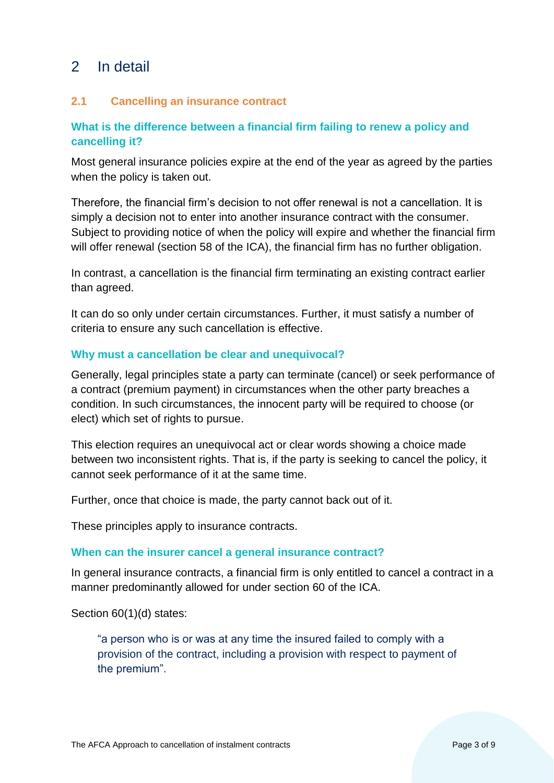## <span id="page-2-0"></span>2 In detail

## <span id="page-2-1"></span>**2.1 Cancelling an insurance contract**

## **What is the difference between a financial firm failing to renew a policy and cancelling it?**

Most general insurance policies expire at the end of the year as agreed by the parties when the policy is taken out.

Therefore, the financial firm's decision to not offer renewal is not a cancellation. It is simply a decision not to enter into another insurance contract with the consumer. Subject to providing notice of when the policy will expire and whether the financial firm will offer renewal (section 58 of the ICA), the financial firm has no further obligation.

In contrast, a cancellation is the financial firm terminating an existing contract earlier than agreed.

It can do so only under certain circumstances. Further, it must satisfy a number of criteria to ensure any such cancellation is effective.

#### **Why must a cancellation be clear and unequivocal?**

Generally, legal principles state a party can terminate (cancel) or seek performance of a contract (premium payment) in circumstances when the other party breaches a condition. In such circumstances, the innocent party will be required to choose (or elect) which set of rights to pursue.

This election requires an unequivocal act or clear words showing a choice made between two inconsistent rights. That is, if the party is seeking to cancel the policy, it cannot seek performance of it at the same time.

Further, once that choice is made, the party cannot back out of it.

These principles apply to insurance contracts.

#### **When can the insurer cancel a general insurance contract?**

In general insurance contracts, a financial firm is only entitled to cancel a contract in a manner predominantly allowed for under section 60 of the ICA.

Section 60(1)(d) states:

"a person who is or was at any time the insured failed to comply with a provision of the contract, including a provision with respect to payment of the premium".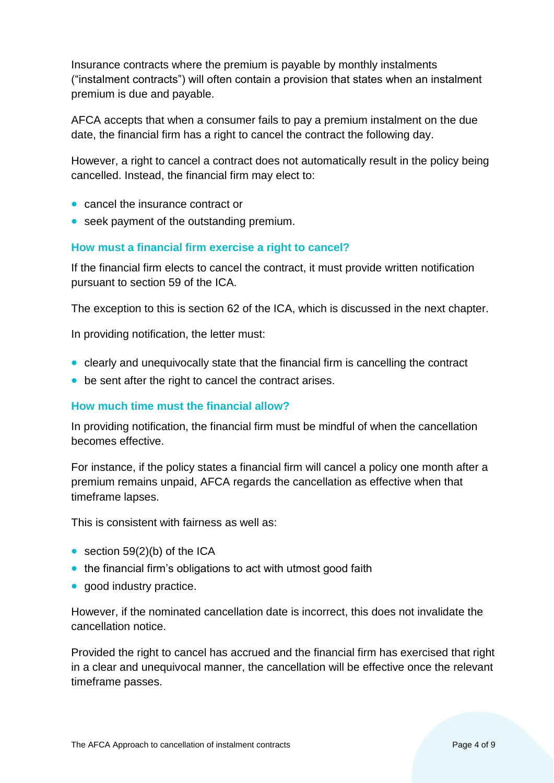Insurance contracts where the premium is payable by monthly instalments ("instalment contracts") will often contain a provision that states when an instalment premium is due and payable.

AFCA accepts that when a consumer fails to pay a premium instalment on the due date, the financial firm has a right to cancel the contract the following day.

However, a right to cancel a contract does not automatically result in the policy being cancelled. Instead, the financial firm may elect to:

- cancel the insurance contract or
- seek payment of the outstanding premium.

## **How must a financial firm exercise a right to cancel?**

If the financial firm elects to cancel the contract, it must provide written notification pursuant to section 59 of the ICA.

The exception to this is section 62 of the ICA, which is discussed in the next chapter.

In providing notification, the letter must:

- clearly and unequivocally state that the financial firm is cancelling the contract
- be sent after the right to cancel the contract arises.

#### **How much time must the financial allow?**

In providing notification, the financial firm must be mindful of when the cancellation becomes effective.

For instance, if the policy states a financial firm will cancel a policy one month after a premium remains unpaid, AFCA regards the cancellation as effective when that timeframe lapses.

This is consistent with fairness as well as:

- section  $59(2)(b)$  of the ICA
- the financial firm's obligations to act with utmost good faith
- good industry practice.

However, if the nominated cancellation date is incorrect, this does not invalidate the cancellation notice.

Provided the right to cancel has accrued and the financial firm has exercised that right in a clear and unequivocal manner, the cancellation will be effective once the relevant timeframe passes.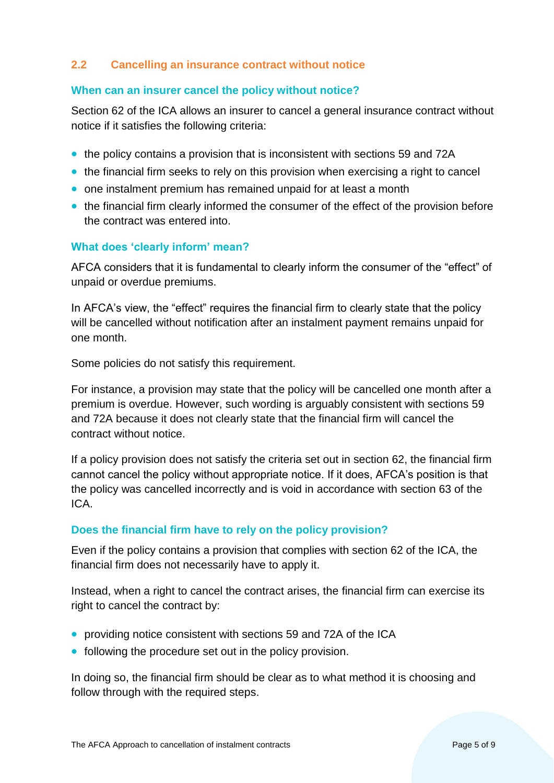## <span id="page-4-0"></span>**2.2 Cancelling an insurance contract without notice**

#### **When can an insurer cancel the policy without notice?**

Section 62 of the ICA allows an insurer to cancel a general insurance contract without notice if it satisfies the following criteria:

- the policy contains a provision that is inconsistent with sections 59 and 72A
- the financial firm seeks to rely on this provision when exercising a right to cancel
- one instalment premium has remained unpaid for at least a month
- the financial firm clearly informed the consumer of the effect of the provision before the contract was entered into.

#### **What does 'clearly inform' mean?**

AFCA considers that it is fundamental to clearly inform the consumer of the "effect" of unpaid or overdue premiums.

In AFCA's view, the "effect" requires the financial firm to clearly state that the policy will be cancelled without notification after an instalment payment remains unpaid for one month.

Some policies do not satisfy this requirement.

For instance, a provision may state that the policy will be cancelled one month after a premium is overdue. However, such wording is arguably consistent with sections 59 and 72A because it does not clearly state that the financial firm will cancel the contract without notice.

If a policy provision does not satisfy the criteria set out in section 62, the financial firm cannot cancel the policy without appropriate notice. If it does, AFCA's position is that the policy was cancelled incorrectly and is void in accordance with section 63 of the ICA.

#### **Does the financial firm have to rely on the policy provision?**

Even if the policy contains a provision that complies with section 62 of the ICA, the financial firm does not necessarily have to apply it.

Instead, when a right to cancel the contract arises, the financial firm can exercise its right to cancel the contract by:

- providing notice consistent with sections 59 and 72A of the ICA
- following the procedure set out in the policy provision.

In doing so, the financial firm should be clear as to what method it is choosing and follow through with the required steps.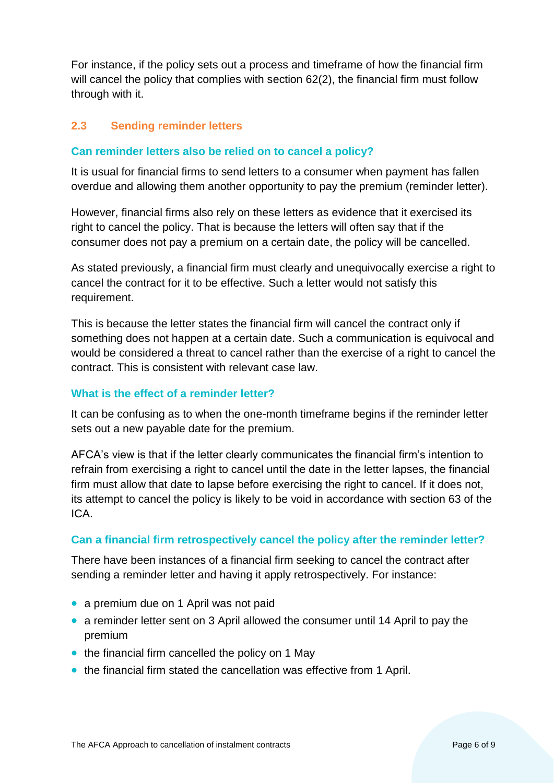For instance, if the policy sets out a process and timeframe of how the financial firm will cancel the policy that complies with section 62(2), the financial firm must follow through with it.

## <span id="page-5-0"></span>**2.3 Sending reminder letters**

## **Can reminder letters also be relied on to cancel a policy?**

It is usual for financial firms to send letters to a consumer when payment has fallen overdue and allowing them another opportunity to pay the premium (reminder letter).

However, financial firms also rely on these letters as evidence that it exercised its right to cancel the policy. That is because the letters will often say that if the consumer does not pay a premium on a certain date, the policy will be cancelled.

As stated previously, a financial firm must clearly and unequivocally exercise a right to cancel the contract for it to be effective. Such a letter would not satisfy this requirement.

This is because the letter states the financial firm will cancel the contract only if something does not happen at a certain date. Such a communication is equivocal and would be considered a threat to cancel rather than the exercise of a right to cancel the contract. This is consistent with relevant case law.

#### **What is the effect of a reminder letter?**

It can be confusing as to when the one-month timeframe begins if the reminder letter sets out a new payable date for the premium.

AFCA's view is that if the letter clearly communicates the financial firm's intention to refrain from exercising a right to cancel until the date in the letter lapses, the financial firm must allow that date to lapse before exercising the right to cancel. If it does not, its attempt to cancel the policy is likely to be void in accordance with section 63 of the ICA.

#### **Can a financial firm retrospectively cancel the policy after the reminder letter?**

There have been instances of a financial firm seeking to cancel the contract after sending a reminder letter and having it apply retrospectively. For instance:

- a premium due on 1 April was not paid
- a reminder letter sent on 3 April allowed the consumer until 14 April to pay the premium
- the financial firm cancelled the policy on 1 May
- the financial firm stated the cancellation was effective from 1 April.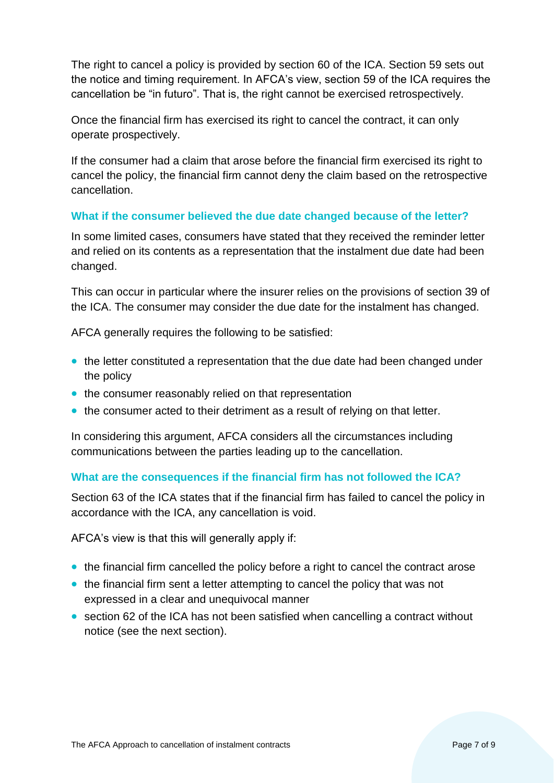The right to cancel a policy is provided by section 60 of the ICA. Section 59 sets out the notice and timing requirement. In AFCA's view, section 59 of the ICA requires the cancellation be "in futuro". That is, the right cannot be exercised retrospectively.

Once the financial firm has exercised its right to cancel the contract, it can only operate prospectively.

If the consumer had a claim that arose before the financial firm exercised its right to cancel the policy, the financial firm cannot deny the claim based on the retrospective cancellation.

## **What if the consumer believed the due date changed because of the letter?**

In some limited cases, consumers have stated that they received the reminder letter and relied on its contents as a representation that the instalment due date had been changed.

This can occur in particular where the insurer relies on the provisions of section 39 of the ICA. The consumer may consider the due date for the instalment has changed.

AFCA generally requires the following to be satisfied:

- the letter constituted a representation that the due date had been changed under the policy
- the consumer reasonably relied on that representation
- the consumer acted to their detriment as a result of relying on that letter.

In considering this argument, AFCA considers all the circumstances including communications between the parties leading up to the cancellation.

## **What are the consequences if the financial firm has not followed the ICA?**

Section 63 of the ICA states that if the financial firm has failed to cancel the policy in accordance with the ICA, any cancellation is void.

AFCA's view is that this will generally apply if:

- the financial firm cancelled the policy before a right to cancel the contract arose
- the financial firm sent a letter attempting to cancel the policy that was not expressed in a clear and unequivocal manner
- section 62 of the ICA has not been satisfied when cancelling a contract without notice (see the next section).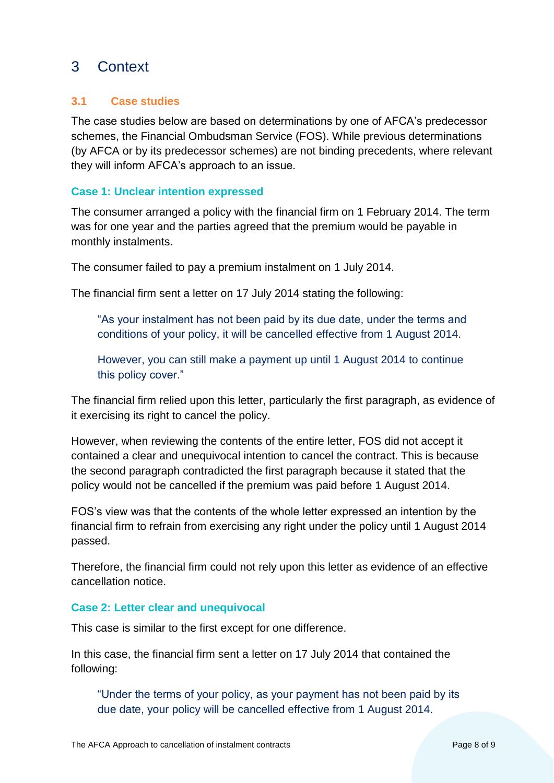# <span id="page-7-0"></span>3 Context

## <span id="page-7-1"></span>**3.1 Case studies**

The case studies below are based on determinations by one of AFCA's predecessor schemes, the Financial Ombudsman Service (FOS). While previous determinations (by AFCA or by its predecessor schemes) are not binding precedents, where relevant they will inform AFCA's approach to an issue.

## **Case 1: Unclear intention expressed**

The consumer arranged a policy with the financial firm on 1 February 2014. The term was for one year and the parties agreed that the premium would be payable in monthly instalments.

The consumer failed to pay a premium instalment on 1 July 2014.

The financial firm sent a letter on 17 July 2014 stating the following:

"As your instalment has not been paid by its due date, under the terms and conditions of your policy, it will be cancelled effective from 1 August 2014.

However, you can still make a payment up until 1 August 2014 to continue this policy cover."

The financial firm relied upon this letter, particularly the first paragraph, as evidence of it exercising its right to cancel the policy.

However, when reviewing the contents of the entire letter, FOS did not accept it contained a clear and unequivocal intention to cancel the contract. This is because the second paragraph contradicted the first paragraph because it stated that the policy would not be cancelled if the premium was paid before 1 August 2014.

FOS's view was that the contents of the whole letter expressed an intention by the financial firm to refrain from exercising any right under the policy until 1 August 2014 passed.

Therefore, the financial firm could not rely upon this letter as evidence of an effective cancellation notice.

#### **Case 2: Letter clear and unequivocal**

This case is similar to the first except for one difference.

In this case, the financial firm sent a letter on 17 July 2014 that contained the following:

"Under the terms of your policy, as your payment has not been paid by its due date, your policy will be cancelled effective from 1 August 2014.